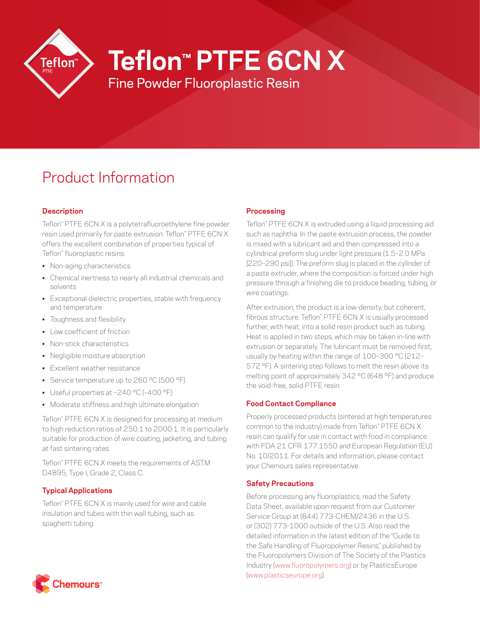

**Teflon™ PTFE 6CN X**

Fine Powder Fluoroplastic Resin

# Product Information

## **Description**

Teflon™ PTFE 6CN X is a polytetrafluoroethylene fine powder resin used primarily for paste extrusion. Teflon™ PTFE 6CN X offers the excellent combination of properties typical of Teflon™ fluoroplastic resins:

- Non-aging characteristics
- Chemical inertness to nearly all industrial chemicals and solvents
- Exceptional dielectric properties, stable with frequency and temperature
- Toughness and flexibility
- Low coefficient of friction
- Non-stick characteristics
- Negligible moisture absorption
- Excellent weather resistance
- Service temperature up to 260 °C (500 °F)
- Useful properties at –240 °C (–400 °F)
- Moderate stiffness and high ultimate elongation

Teflon™ PTFE 6CN X is designed for processing at medium to high reduction ratios of 250:1 to 2000:1. It is particularly suitable for production of wire coating, jacketing, and tubing at fast sintering rates.

Teflon™ PTFE 6CN X meets the requirements of ASTM D4895, Type I, Grade 2, Class C.

## **Typical Applications**

Teflon™ PTFE 6CN X is mainly used for wire and cable insulation and tubes with thin wall tubing, such as spaghetti tubing.

## **Processing**

Teflon™ PTFE 6CN X is extruded using a liquid processing aid such as naphtha. In the paste extrusion process, the powder is mixed with a lubricant aid and then compressed into a cylindrical preform slug under light pressure (1.5–2.0 MPa [220–290 psi]). The preform slug is placed in the cylinder of a paste extruder, where the composition is forced under high pressure through a finishing die to produce beading, tubing, or wire coatings.

After extrusion, the product is a low-density, but coherent, fibrous structure. Teflon™ PTFE 6CN X is usually processed further, with heat, into a solid resin product such as tubing. Heat is applied in two steps, which may be taken in-line with extrusion or separately. The lubricant must be removed first, usually by heating within the range of 100-300 °C (212-572 °F). A sintering step follows to melt the resin above its melting point of approximately 342 °C (648 °F) and produce the void-free, solid PTFE resin.

## **Food Contact Compliance**

Properly processed products (sintered at high temperatures common to the industry) made from Teflon™ PTFE 6CN X resin can qualify for use in contact with food in compliance with FDA 21 CFR 177.1550 and European Regulation (EU) No. 10/2011. For details and information, please contact your Chemours sales representative.

## **Safety Precautions**

Before processing any fluoroplastics, read the Safety Data Sheet, available upon request from our Customer Service Group at (844) 773-CHEM/2436 in the U.S. or (302) 773-1000 outside of the U.S. Also read the detailed information in the latest edition of the "Guide to the Safe Handling of Fluoropolymer Resins," published by the Fluoropolymers Division of The Society of the Plastics Industry ([www.fluoropolymers.org](http://www.fluoropolymers.org)) or by PlasticsEurope [\(www.plasticseurope.org](http://www.plasticseurope.org)).